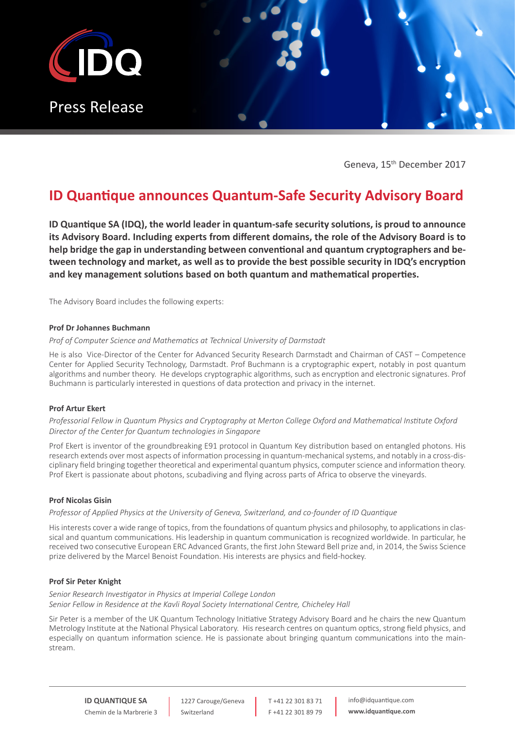

Geneva, 15th December 2017

# **ID Quantique announces Quantum-Safe Security Advisory Board**

**ID Quantique SA (IDQ), the world leader in quantum-safe security solutions, is proud to announce its Advisory Board. Including experts from different domains, the role of the Advisory Board is to help bridge the gap in understanding between conventional and quantum cryptographers and between technology and market, as well as to provide the best possible security in IDQ's encryption and key management solutions based on both quantum and mathematical properties.**

The Advisory Board includes the following experts:

## **Prof Dr Johannes Buchmann**

# *Prof of Computer Science and Mathematics at Technical University of Darmstadt*

He is also Vice-Director of the Center for Advanced Security Research Darmstadt and Chairman of CAST – Competence Center for Applied Security Technology, Darmstadt. Prof Buchmann is a cryptographic expert, notably in post quantum algorithms and number theory. He develops cryptographic algorithms, such as encryption and electronic signatures. Prof Buchmann is particularly interested in questions of data protection and privacy in the internet.

# **Prof Artur Ekert**

*Professorial Fellow in Quantum Physics and Cryptography at Merton College Oxford and Mathematical Institute Oxford Director of the Center for Quantum technologies in Singapore*

Prof Ekert is inventor of the groundbreaking E91 protocol in Quantum Key distribution based on entangled photons. His research extends over most aspects of information processing in quantum-mechanical systems, and notably in a cross-disciplinary field bringing together theoretical and experimental quantum physics, computer science and information theory. Prof Ekert is passionate about photons, scubadiving and flying across parts of Africa to observe the vineyards.

### **Prof Nicolas Gisin**

*Professor of Applied Physics at the University of Geneva, Switzerland, and co-founder of ID Quantique*

His interests cover a wide range of topics, from the foundations of quantum physics and philosophy, to applications in classical and quantum communications. His leadership in quantum communication is recognized worldwide. In particular, he received two consecutive European ERC Advanced Grants, the first John Steward Bell prize and, in 2014, the Swiss Science prize delivered by the Marcel Benoist Foundation. His interests are physics and field-hockey.

## **Prof Sir Peter Knight**

*Senior Research Investigator in Physics at Imperial College London Senior Fellow in Residence at the Kavli Royal Society International Centre, Chicheley Hall*

Sir Peter is a member of the UK Quantum Technology Initiative Strategy Advisory Board and he chairs the new Quantum Metrology Institute at the National Physical Laboratory. His research centres on quantum optics, strong field physics, and especially on quantum information science. He is passionate about bringing quantum communications into the mainstream.

**ID QUANTIQUE SA** Chemin de la Marbrerie 3

1227 Carouge/Geneva Switzerland

T +41 22 301 83 71 F +41 22 301 89 79 info@idquantique.com **www.idquantique.com**